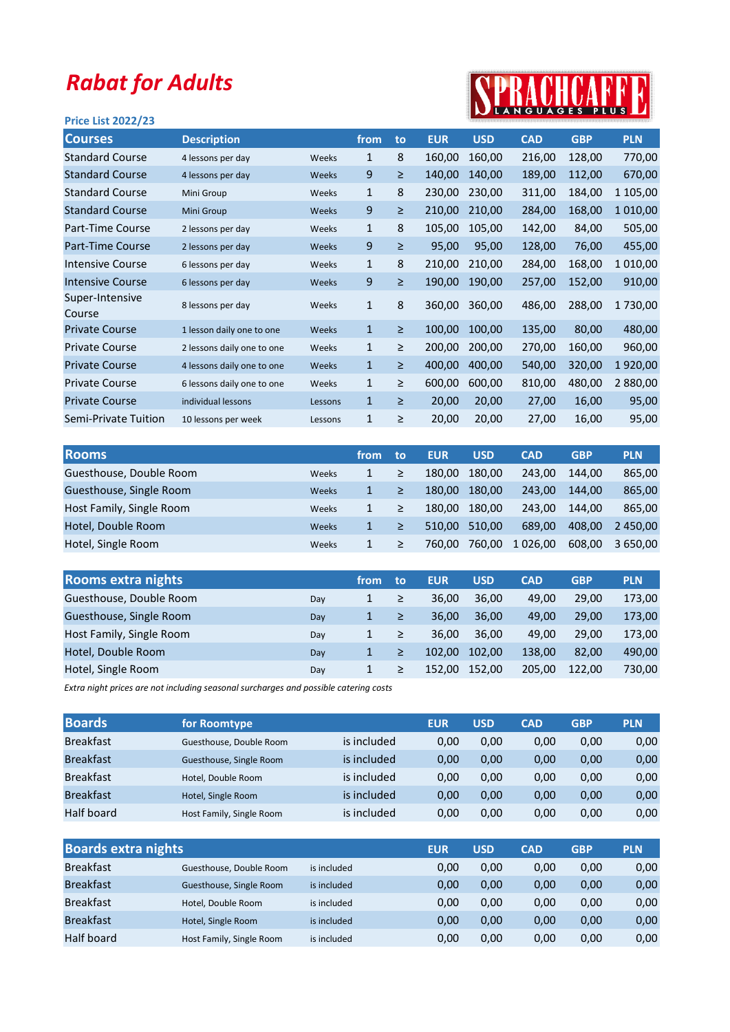## Rabat for Adults

## Price List 2022/23



| <b>Courses</b>            | <b>Description</b>         |         | from         | to     | <b>EUR</b> | <b>USD</b> | <b>CAD</b> | <b>GBP</b> | <b>PLN</b> |
|---------------------------|----------------------------|---------|--------------|--------|------------|------------|------------|------------|------------|
| <b>Standard Course</b>    | 4 lessons per day          | Weeks   | $\mathbf{1}$ | 8      | 160,00     | 160,00     | 216,00     | 128,00     | 770,00     |
| <b>Standard Course</b>    | 4 lessons per day          | Weeks   | $9\,$        | $\geq$ | 140,00     | 140,00     | 189,00     | 112,00     | 670,00     |
| <b>Standard Course</b>    | Mini Group                 | Weeks   | 1            | 8      | 230,00     | 230,00     | 311,00     | 184,00     | 1 105,00   |
| <b>Standard Course</b>    | Mini Group                 | Weeks   | 9            | ≥      | 210,00     | 210,00     | 284,00     | 168,00     | 1010,00    |
| Part-Time Course          | 2 lessons per day          | Weeks   | $\mathbf{1}$ | 8      | 105,00     | 105,00     | 142,00     | 84,00      | 505,00     |
| Part-Time Course          | 2 lessons per day          | Weeks   | 9            | ≥      | 95,00      | 95,00      | 128,00     | 76,00      | 455,00     |
| <b>Intensive Course</b>   | 6 lessons per day          | Weeks   | $\mathbf{1}$ | 8      | 210,00     | 210,00     | 284,00     | 168,00     | 1010,00    |
| <b>Intensive Course</b>   | 6 lessons per day          | Weeks   | $9\,$        | ≥      | 190,00     | 190,00     | 257,00     | 152,00     | 910,00     |
| Super-Intensive<br>Course | 8 lessons per day          | Weeks   | $\mathbf{1}$ | 8      | 360,00     | 360,00     | 486,00     | 288,00     | 1730,00    |
| <b>Private Course</b>     | 1 lesson daily one to one  | Weeks   | $\mathbf{1}$ | $\geq$ | 100,00     | 100,00     | 135,00     | 80,00      | 480,00     |
| <b>Private Course</b>     | 2 lessons daily one to one | Weeks   | $\mathbf{1}$ | $\geq$ | 200,00     | 200,00     | 270,00     | 160,00     | 960,00     |
| <b>Private Course</b>     | 4 lessons daily one to one | Weeks   | $\mathbf{1}$ | ≥      | 400,00     | 400,00     | 540,00     | 320,00     | 1920,00    |
| <b>Private Course</b>     | 6 lessons daily one to one | Weeks   | $\mathbf{1}$ | ≥      | 600,00     | 600,00     | 810,00     | 480,00     | 2 880,00   |
| <b>Private Course</b>     | individual lessons         | Lessons | $\mathbf{1}$ | $\geq$ | 20,00      | 20,00      | 27,00      | 16,00      | 95,00      |
| Semi-Private Tuition      | 10 lessons per week        | Lessons | $\mathbf{1}$ | ≥      | 20,00      | 20,00      | 27,00      | 16,00      | 95,00      |
|                           |                            |         |              |        |            |            |            |            |            |

| <b>Rooms</b>             |       | from | to | <b>EUR</b> | <b>USD</b> | <b>CAD</b> | <b>GBP</b> | <b>PLN</b> |
|--------------------------|-------|------|----|------------|------------|------------|------------|------------|
| Guesthouse, Double Room  | Weeks | 1    | ≥  | 180.00     | 180.00     | 243.00     | 144.00     | 865,00     |
| Guesthouse, Single Room  | Weeks | 1    | ≥  | 180.00     | 180.00     | 243.00     | 144.00     | 865,00     |
| Host Family, Single Room | Weeks | 1    | ≥  | 180.00     | 180.00     | 243.00     | 144.00     | 865.00     |
| Hotel, Double Room       | Weeks | 1    | ≥  | 510.00     | 510.00     | 689.00     | 408.00     | 2 450.00   |
| Hotel, Single Room       | Weeks |      |    | 760.00     | 760,00     | 1 0 26,00  | 608,00     | 3 650.00   |

|     | from | to     | <b>EUR</b> | <b>USD</b> | <b>CAD</b> | <b>GBP</b> | <b>PLN</b> |
|-----|------|--------|------------|------------|------------|------------|------------|
| Day | 1    | ≥      | 36.00      | 36.00      | 49.00      | 29.00      | 173,00     |
| Day | 1    | $\geq$ | 36.00      | 36.00      | 49.00      | 29.00      | 173,00     |
| Day | 1    | ≥      | 36.00      | 36.00      | 49.00      | 29.00      | 173,00     |
| Day | 1    |        | 102.00     | 102.00     | 138.00     | 82.00      | 490,00     |
| Day | 1    |        | 152.00     | 152.00     | 205.00     | 122.00     | 730,00     |
|     |      |        |            |            |            |            |            |

Extra night prices are not including seasonal surcharges and possible catering costs

| <b>Boards</b>    | for Roomtype             |             | <b>EUR</b> | <b>USD</b> | <b>CAD</b> | <b>GBP</b> | <b>PLN</b> |
|------------------|--------------------------|-------------|------------|------------|------------|------------|------------|
| <b>Breakfast</b> | Guesthouse, Double Room  | is included | 0,00       | 0,00       | 0,00       | 0,00       | 0,00       |
| <b>Breakfast</b> | Guesthouse, Single Room  | is included | 0.00       | 0,00       | 0,00       | 0,00       | 0,00       |
| <b>Breakfast</b> | Hotel, Double Room       | is included | 0.00       | 0.00       | 0,00       | 0,00       | 0,00       |
| <b>Breakfast</b> | Hotel, Single Room       | is included | 0.00       | 0,00       | 0,00       | 0,00       | 0,00       |
| Half board       | Host Family, Single Room | is included | 0.00       | 0.00       | 0,00       | 0,00       | 0,00       |

| <b>Boards extra nights</b> |                          |             | <b>EUR</b> | <b>USD</b> | <b>CAD</b> | <b>GBP</b> | <b>PLN</b> |
|----------------------------|--------------------------|-------------|------------|------------|------------|------------|------------|
| <b>Breakfast</b>           | Guesthouse, Double Room  | is included | 0,00       | 0,00       | 0,00       | 0,00       | 0,00       |
| <b>Breakfast</b>           | Guesthouse, Single Room  | is included | 0,00       | 0,00       | 0,00       | 0,00       | 0,00       |
| <b>Breakfast</b>           | Hotel, Double Room       | is included | 0,00       | 0,00       | 0,00       | 0,00       | 0,00       |
| <b>Breakfast</b>           | Hotel, Single Room       | is included | 0,00       | 0,00       | 0,00       | 0,00       | 0,00       |
| Half board                 | Host Family, Single Room | is included | 0,00       | 0.00       | 0,00       | 0,00       | 0,00       |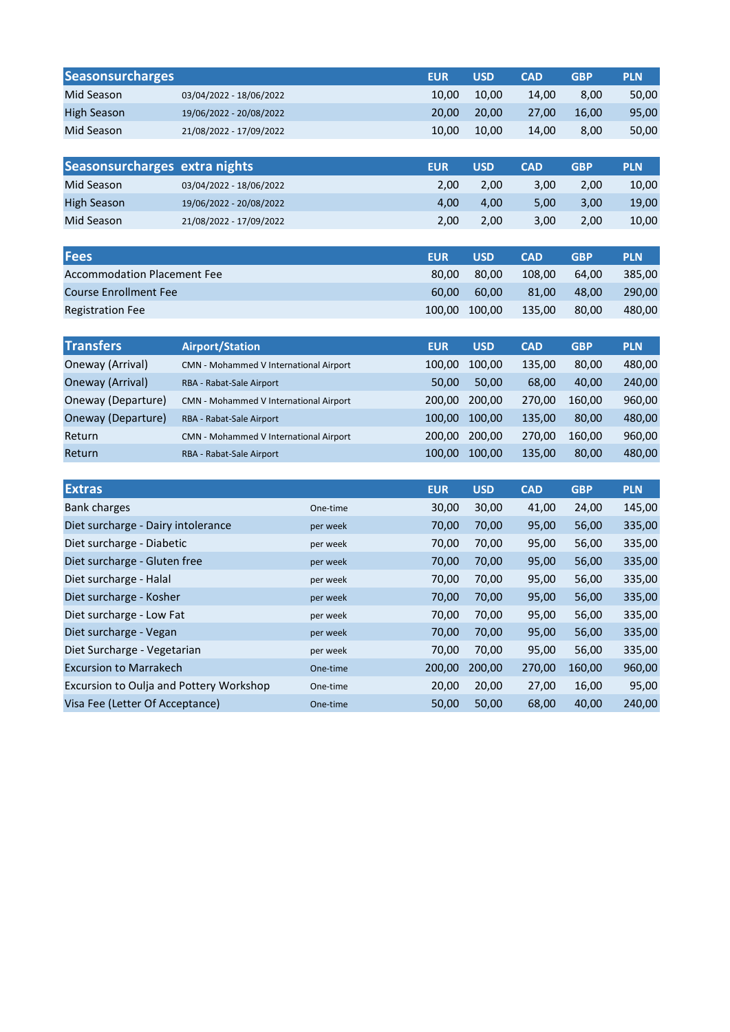| <b>Seasonsurcharges</b>                 |                                        |          | <b>EUR</b> | <b>USD</b> | <b>CAD</b> | <b>GBP</b> | <b>PLN</b> |
|-----------------------------------------|----------------------------------------|----------|------------|------------|------------|------------|------------|
| Mid Season                              | 03/04/2022 - 18/06/2022                |          | 10,00      | 10,00      | 14,00      | 8,00       | 50,00      |
| <b>High Season</b>                      | 19/06/2022 - 20/08/2022                |          | 20,00      | 20,00      | 27,00      | 16,00      | 95,00      |
| Mid Season                              | 21/08/2022 - 17/09/2022                |          | 10,00      | 10,00      | 14,00      | 8,00       | 50,00      |
|                                         |                                        |          |            |            |            |            |            |
| Seasonsurcharges extra nights           |                                        |          | <b>EUR</b> | <b>USD</b> | <b>CAD</b> | <b>GBP</b> | <b>PLN</b> |
| Mid Season                              | 03/04/2022 - 18/06/2022                |          | 2,00       | 2,00       | 3,00       | 2,00       | 10,00      |
| <b>High Season</b>                      | 19/06/2022 - 20/08/2022                |          | 4,00       | 4,00       | 5,00       | 3,00       | 19,00      |
| Mid Season                              | 21/08/2022 - 17/09/2022                |          | 2,00       | 2,00       | 3,00       | 2,00       | 10,00      |
|                                         |                                        |          |            |            |            |            |            |
| <b>Fees</b>                             |                                        |          | <b>EUR</b> | <b>USD</b> | <b>CAD</b> | <b>GBP</b> | <b>PLN</b> |
| <b>Accommodation Placement Fee</b>      |                                        |          | 80,00      | 80,00      | 108,00     | 64,00      | 385,00     |
| <b>Course Enrollment Fee</b>            |                                        |          | 60,00      | 60,00      | 81,00      | 48,00      | 290,00     |
| <b>Registration Fee</b>                 |                                        |          | 100,00     | 100,00     | 135,00     | 80,00      | 480,00     |
|                                         |                                        |          |            |            |            |            |            |
| <b>Transfers</b>                        | <b>Airport/Station</b>                 |          | <b>EUR</b> | <b>USD</b> | <b>CAD</b> | <b>GBP</b> | <b>PLN</b> |
| Oneway (Arrival)                        | CMN - Mohammed V International Airport |          | 100,00     | 100,00     | 135,00     | 80,00      | 480,00     |
| Oneway (Arrival)                        | RBA - Rabat-Sale Airport               |          | 50,00      | 50,00      | 68,00      | 40,00      | 240,00     |
| Oneway (Departure)                      | CMN - Mohammed V International Airport |          | 200,00     | 200,00     | 270,00     | 160,00     | 960,00     |
| Oneway (Departure)                      | RBA - Rabat-Sale Airport               |          | 100,00     | 100,00     | 135,00     | 80,00      | 480,00     |
| Return                                  | CMN - Mohammed V International Airport |          | 200,00     | 200,00     | 270,00     | 160,00     | 960,00     |
| Return                                  | RBA - Rabat-Sale Airport               |          | 100,00     | 100,00     | 135,00     | 80,00      | 480,00     |
|                                         |                                        |          |            |            |            |            |            |
| <b>Extras</b>                           |                                        |          | <b>EUR</b> | <b>USD</b> | <b>CAD</b> | <b>GBP</b> | <b>PLN</b> |
| <b>Bank charges</b>                     |                                        | One-time | 30,00      | 30,00      | 41,00      | 24,00      | 145,00     |
| Diet surcharge - Dairy intolerance      |                                        | per week | 70,00      | 70,00      | 95,00      | 56,00      | 335,00     |
| Diet surcharge - Diabetic               |                                        | per week | 70,00      | 70,00      | 95,00      | 56,00      | 335,00     |
| Diet surcharge - Gluten free            |                                        | per week | 70,00      | 70,00      | 95,00      | 56,00      | 335,00     |
| Diet surcharge - Halal                  |                                        | per week | 70,00      | 70,00      | 95,00      | 56,00      | 335,00     |
| Diet surcharge - Kosher<br>per week     |                                        |          | 70,00      | 70,00      | 95,00      | 56,00      | 335,00     |
| Diet surcharge - Low Fat<br>per week    |                                        |          | 70,00      | 70,00      | 95,00      | 56,00      | 335,00     |
| Diet surcharge - Vegan<br>per week      |                                        |          | 70,00      | 70,00      | 95,00      | 56,00      | 335,00     |
| Diet Surcharge - Vegetarian<br>per week |                                        |          | 70,00      | 70,00      | 95,00      | 56,00      | 335,00     |
| <b>Excursion to Marrakech</b>           |                                        | One-time | 200,00     | 200,00     | 270,00     | 160,00     | 960,00     |
| Excursion to Oulja and Pottery Workshop |                                        | One-time | 20,00      | 20,00      | 27,00      | 16,00      | 95,00      |
| Visa Fee (Letter Of Acceptance)         |                                        | One-time | 50,00      | 50,00      | 68,00      | 40,00      | 240,00     |